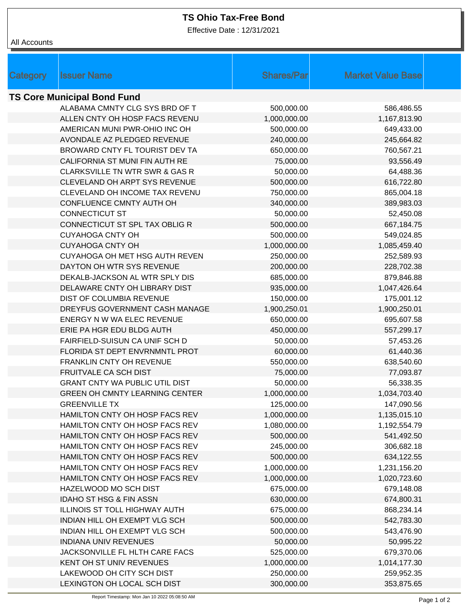## **TS Ohio Tax-Free Bond**

Effective Date : 12/31/2021

| All Accounts |  |
|--------------|--|
|--------------|--|

| <b>Shares/Par</b><br><b>Market Value Base</b><br>Category<br><b>Issuer Name</b><br><b>TS Core Municipal Bond Fund</b><br>ALABAMA CMNTY CLG SYS BRD OF T<br>500,000.00<br>586,486.55<br>ALLEN CNTY OH HOSP FACS REVENU<br>1,000,000.00<br>1,167,813.90<br>AMERICAN MUNI PWR-OHIO INC OH<br>500,000.00<br>649,433.00<br>AVONDALE AZ PLEDGED REVENUE<br>240,000.00<br>245,664.82<br>BROWARD CNTY FL TOURIST DEV TA<br>650,000.00<br>760,567.21<br>CALIFORNIA ST MUNI FIN AUTH RE<br>75,000.00<br>93,556.49<br>CLARKSVILLE TN WTR SWR & GAS R<br>50,000.00<br>64,488.36<br>CLEVELAND OH ARPT SYS REVENUE<br>500,000.00<br>616,722.80<br>CLEVELAND OH INCOME TAX REVENU<br>750,000.00<br>865,004.18<br>CONFLUENCE CMNTY AUTH OH<br>340,000.00<br>389,983.03<br><b>CONNECTICUT ST</b><br>50,000.00<br>52,450.08<br>CONNECTICUT ST SPL TAX OBLIG R<br>500,000.00<br>667,184.75<br><b>CUYAHOGA CNTY OH</b><br>500,000.00<br>549,024.85<br><b>CUYAHOGA CNTY OH</b><br>1,000,000.00<br>1,085,459.40<br>CUYAHOGA OH MET HSG AUTH REVEN<br>250,000.00<br>252,589.93<br>DAYTON OH WTR SYS REVENUE<br>200,000.00<br>228,702.38<br>685,000.00<br>DEKALB-JACKSON AL WTR SPLY DIS<br>879,846.88<br>DELAWARE CNTY OH LIBRARY DIST<br>935,000.00<br>1,047,426.64<br>DIST OF COLUMBIA REVENUE<br>150,000.00<br>175,001.12<br>DREYFUS GOVERNMENT CASH MANAGE<br>1,900,250.01<br>1,900,250.01<br>ENERGY N W WA ELEC REVENUE<br>650,000.00<br>695,607.58<br>ERIE PA HGR EDU BLDG AUTH<br>450,000.00<br>557,299.17<br>FAIRFIELD-SUISUN CA UNIF SCH D<br>50,000.00<br>57,453.26<br>60,000.00<br>FLORIDA ST DEPT ENVRNMNTL PROT<br>61,440.36<br>550,000.00<br>FRANKLIN CNTY OH REVENUE<br>638,540.60<br>FRUITVALE CA SCH DIST<br>75,000.00<br>77,093.87<br><b>GRANT CNTY WA PUBLIC UTIL DIST</b><br>50,000.00<br>56,338.35<br><b>GREEN OH CMNTY LEARNING CENTER</b><br>1,000,000.00<br>1,034,703.40<br><b>GREENVILLE TX</b><br>125,000.00<br>147,090.56<br>HAMILTON CNTY OH HOSP FACS REV<br>1,000,000.00<br>1,135,015.10<br>HAMILTON CNTY OH HOSP FACS REV<br>1,080,000.00<br>1,192,554.79<br>HAMILTON CNTY OH HOSP FACS REV<br>500,000.00<br>541,492.50<br>HAMILTON CNTY OH HOSP FACS REV<br>245,000.00<br>306,682.18<br>500,000.00<br>HAMILTON CNTY OH HOSP FACS REV<br>634,122.55<br>HAMILTON CNTY OH HOSP FACS REV<br>1,000,000.00<br>1,231,156.20<br>HAMILTON CNTY OH HOSP FACS REV<br>1,000,000.00<br>1,020,723.60<br>HAZELWOOD MO SCH DIST<br>675,000.00<br>679,148.08<br><b>IDAHO ST HSG &amp; FIN ASSN</b><br>630,000.00<br>674,800.31<br>ILLINOIS ST TOLL HIGHWAY AUTH<br>675,000.00<br>868,234.14<br>INDIAN HILL OH EXEMPT VLG SCH<br>500,000.00<br>542,783.30<br>INDIAN HILL OH EXEMPT VLG SCH<br>500,000.00<br>543,476.90<br><b>INDIANA UNIV REVENUES</b><br>50,000.00<br>50,995.22<br>JACKSONVILLE FL HLTH CARE FACS<br>525,000.00<br>679,370.06<br>KENT OH ST UNIV REVENUES<br>1,000,000.00<br>1,014,177.30<br>LAKEWOOD OH CITY SCH DIST<br>250,000.00<br>259,952.35<br>300,000.00<br>LEXINGTON OH LOCAL SCH DIST<br>353,875.65 |  |  |  |
|-----------------------------------------------------------------------------------------------------------------------------------------------------------------------------------------------------------------------------------------------------------------------------------------------------------------------------------------------------------------------------------------------------------------------------------------------------------------------------------------------------------------------------------------------------------------------------------------------------------------------------------------------------------------------------------------------------------------------------------------------------------------------------------------------------------------------------------------------------------------------------------------------------------------------------------------------------------------------------------------------------------------------------------------------------------------------------------------------------------------------------------------------------------------------------------------------------------------------------------------------------------------------------------------------------------------------------------------------------------------------------------------------------------------------------------------------------------------------------------------------------------------------------------------------------------------------------------------------------------------------------------------------------------------------------------------------------------------------------------------------------------------------------------------------------------------------------------------------------------------------------------------------------------------------------------------------------------------------------------------------------------------------------------------------------------------------------------------------------------------------------------------------------------------------------------------------------------------------------------------------------------------------------------------------------------------------------------------------------------------------------------------------------------------------------------------------------------------------------------------------------------------------------------------------------------------------------------------------------------------------------------------------------------------------------------------------------------------------------------------------------------------------------------------------------------------------------------------------------------------------------------------------------------------------------------------------------------------------------------------------------------------------|--|--|--|
|                                                                                                                                                                                                                                                                                                                                                                                                                                                                                                                                                                                                                                                                                                                                                                                                                                                                                                                                                                                                                                                                                                                                                                                                                                                                                                                                                                                                                                                                                                                                                                                                                                                                                                                                                                                                                                                                                                                                                                                                                                                                                                                                                                                                                                                                                                                                                                                                                                                                                                                                                                                                                                                                                                                                                                                                                                                                                                                                                                                                                       |  |  |  |
|                                                                                                                                                                                                                                                                                                                                                                                                                                                                                                                                                                                                                                                                                                                                                                                                                                                                                                                                                                                                                                                                                                                                                                                                                                                                                                                                                                                                                                                                                                                                                                                                                                                                                                                                                                                                                                                                                                                                                                                                                                                                                                                                                                                                                                                                                                                                                                                                                                                                                                                                                                                                                                                                                                                                                                                                                                                                                                                                                                                                                       |  |  |  |
|                                                                                                                                                                                                                                                                                                                                                                                                                                                                                                                                                                                                                                                                                                                                                                                                                                                                                                                                                                                                                                                                                                                                                                                                                                                                                                                                                                                                                                                                                                                                                                                                                                                                                                                                                                                                                                                                                                                                                                                                                                                                                                                                                                                                                                                                                                                                                                                                                                                                                                                                                                                                                                                                                                                                                                                                                                                                                                                                                                                                                       |  |  |  |
|                                                                                                                                                                                                                                                                                                                                                                                                                                                                                                                                                                                                                                                                                                                                                                                                                                                                                                                                                                                                                                                                                                                                                                                                                                                                                                                                                                                                                                                                                                                                                                                                                                                                                                                                                                                                                                                                                                                                                                                                                                                                                                                                                                                                                                                                                                                                                                                                                                                                                                                                                                                                                                                                                                                                                                                                                                                                                                                                                                                                                       |  |  |  |
|                                                                                                                                                                                                                                                                                                                                                                                                                                                                                                                                                                                                                                                                                                                                                                                                                                                                                                                                                                                                                                                                                                                                                                                                                                                                                                                                                                                                                                                                                                                                                                                                                                                                                                                                                                                                                                                                                                                                                                                                                                                                                                                                                                                                                                                                                                                                                                                                                                                                                                                                                                                                                                                                                                                                                                                                                                                                                                                                                                                                                       |  |  |  |
|                                                                                                                                                                                                                                                                                                                                                                                                                                                                                                                                                                                                                                                                                                                                                                                                                                                                                                                                                                                                                                                                                                                                                                                                                                                                                                                                                                                                                                                                                                                                                                                                                                                                                                                                                                                                                                                                                                                                                                                                                                                                                                                                                                                                                                                                                                                                                                                                                                                                                                                                                                                                                                                                                                                                                                                                                                                                                                                                                                                                                       |  |  |  |
|                                                                                                                                                                                                                                                                                                                                                                                                                                                                                                                                                                                                                                                                                                                                                                                                                                                                                                                                                                                                                                                                                                                                                                                                                                                                                                                                                                                                                                                                                                                                                                                                                                                                                                                                                                                                                                                                                                                                                                                                                                                                                                                                                                                                                                                                                                                                                                                                                                                                                                                                                                                                                                                                                                                                                                                                                                                                                                                                                                                                                       |  |  |  |
|                                                                                                                                                                                                                                                                                                                                                                                                                                                                                                                                                                                                                                                                                                                                                                                                                                                                                                                                                                                                                                                                                                                                                                                                                                                                                                                                                                                                                                                                                                                                                                                                                                                                                                                                                                                                                                                                                                                                                                                                                                                                                                                                                                                                                                                                                                                                                                                                                                                                                                                                                                                                                                                                                                                                                                                                                                                                                                                                                                                                                       |  |  |  |
|                                                                                                                                                                                                                                                                                                                                                                                                                                                                                                                                                                                                                                                                                                                                                                                                                                                                                                                                                                                                                                                                                                                                                                                                                                                                                                                                                                                                                                                                                                                                                                                                                                                                                                                                                                                                                                                                                                                                                                                                                                                                                                                                                                                                                                                                                                                                                                                                                                                                                                                                                                                                                                                                                                                                                                                                                                                                                                                                                                                                                       |  |  |  |
|                                                                                                                                                                                                                                                                                                                                                                                                                                                                                                                                                                                                                                                                                                                                                                                                                                                                                                                                                                                                                                                                                                                                                                                                                                                                                                                                                                                                                                                                                                                                                                                                                                                                                                                                                                                                                                                                                                                                                                                                                                                                                                                                                                                                                                                                                                                                                                                                                                                                                                                                                                                                                                                                                                                                                                                                                                                                                                                                                                                                                       |  |  |  |
|                                                                                                                                                                                                                                                                                                                                                                                                                                                                                                                                                                                                                                                                                                                                                                                                                                                                                                                                                                                                                                                                                                                                                                                                                                                                                                                                                                                                                                                                                                                                                                                                                                                                                                                                                                                                                                                                                                                                                                                                                                                                                                                                                                                                                                                                                                                                                                                                                                                                                                                                                                                                                                                                                                                                                                                                                                                                                                                                                                                                                       |  |  |  |
|                                                                                                                                                                                                                                                                                                                                                                                                                                                                                                                                                                                                                                                                                                                                                                                                                                                                                                                                                                                                                                                                                                                                                                                                                                                                                                                                                                                                                                                                                                                                                                                                                                                                                                                                                                                                                                                                                                                                                                                                                                                                                                                                                                                                                                                                                                                                                                                                                                                                                                                                                                                                                                                                                                                                                                                                                                                                                                                                                                                                                       |  |  |  |
|                                                                                                                                                                                                                                                                                                                                                                                                                                                                                                                                                                                                                                                                                                                                                                                                                                                                                                                                                                                                                                                                                                                                                                                                                                                                                                                                                                                                                                                                                                                                                                                                                                                                                                                                                                                                                                                                                                                                                                                                                                                                                                                                                                                                                                                                                                                                                                                                                                                                                                                                                                                                                                                                                                                                                                                                                                                                                                                                                                                                                       |  |  |  |
|                                                                                                                                                                                                                                                                                                                                                                                                                                                                                                                                                                                                                                                                                                                                                                                                                                                                                                                                                                                                                                                                                                                                                                                                                                                                                                                                                                                                                                                                                                                                                                                                                                                                                                                                                                                                                                                                                                                                                                                                                                                                                                                                                                                                                                                                                                                                                                                                                                                                                                                                                                                                                                                                                                                                                                                                                                                                                                                                                                                                                       |  |  |  |
|                                                                                                                                                                                                                                                                                                                                                                                                                                                                                                                                                                                                                                                                                                                                                                                                                                                                                                                                                                                                                                                                                                                                                                                                                                                                                                                                                                                                                                                                                                                                                                                                                                                                                                                                                                                                                                                                                                                                                                                                                                                                                                                                                                                                                                                                                                                                                                                                                                                                                                                                                                                                                                                                                                                                                                                                                                                                                                                                                                                                                       |  |  |  |
|                                                                                                                                                                                                                                                                                                                                                                                                                                                                                                                                                                                                                                                                                                                                                                                                                                                                                                                                                                                                                                                                                                                                                                                                                                                                                                                                                                                                                                                                                                                                                                                                                                                                                                                                                                                                                                                                                                                                                                                                                                                                                                                                                                                                                                                                                                                                                                                                                                                                                                                                                                                                                                                                                                                                                                                                                                                                                                                                                                                                                       |  |  |  |
|                                                                                                                                                                                                                                                                                                                                                                                                                                                                                                                                                                                                                                                                                                                                                                                                                                                                                                                                                                                                                                                                                                                                                                                                                                                                                                                                                                                                                                                                                                                                                                                                                                                                                                                                                                                                                                                                                                                                                                                                                                                                                                                                                                                                                                                                                                                                                                                                                                                                                                                                                                                                                                                                                                                                                                                                                                                                                                                                                                                                                       |  |  |  |
|                                                                                                                                                                                                                                                                                                                                                                                                                                                                                                                                                                                                                                                                                                                                                                                                                                                                                                                                                                                                                                                                                                                                                                                                                                                                                                                                                                                                                                                                                                                                                                                                                                                                                                                                                                                                                                                                                                                                                                                                                                                                                                                                                                                                                                                                                                                                                                                                                                                                                                                                                                                                                                                                                                                                                                                                                                                                                                                                                                                                                       |  |  |  |
|                                                                                                                                                                                                                                                                                                                                                                                                                                                                                                                                                                                                                                                                                                                                                                                                                                                                                                                                                                                                                                                                                                                                                                                                                                                                                                                                                                                                                                                                                                                                                                                                                                                                                                                                                                                                                                                                                                                                                                                                                                                                                                                                                                                                                                                                                                                                                                                                                                                                                                                                                                                                                                                                                                                                                                                                                                                                                                                                                                                                                       |  |  |  |
|                                                                                                                                                                                                                                                                                                                                                                                                                                                                                                                                                                                                                                                                                                                                                                                                                                                                                                                                                                                                                                                                                                                                                                                                                                                                                                                                                                                                                                                                                                                                                                                                                                                                                                                                                                                                                                                                                                                                                                                                                                                                                                                                                                                                                                                                                                                                                                                                                                                                                                                                                                                                                                                                                                                                                                                                                                                                                                                                                                                                                       |  |  |  |
|                                                                                                                                                                                                                                                                                                                                                                                                                                                                                                                                                                                                                                                                                                                                                                                                                                                                                                                                                                                                                                                                                                                                                                                                                                                                                                                                                                                                                                                                                                                                                                                                                                                                                                                                                                                                                                                                                                                                                                                                                                                                                                                                                                                                                                                                                                                                                                                                                                                                                                                                                                                                                                                                                                                                                                                                                                                                                                                                                                                                                       |  |  |  |
|                                                                                                                                                                                                                                                                                                                                                                                                                                                                                                                                                                                                                                                                                                                                                                                                                                                                                                                                                                                                                                                                                                                                                                                                                                                                                                                                                                                                                                                                                                                                                                                                                                                                                                                                                                                                                                                                                                                                                                                                                                                                                                                                                                                                                                                                                                                                                                                                                                                                                                                                                                                                                                                                                                                                                                                                                                                                                                                                                                                                                       |  |  |  |
|                                                                                                                                                                                                                                                                                                                                                                                                                                                                                                                                                                                                                                                                                                                                                                                                                                                                                                                                                                                                                                                                                                                                                                                                                                                                                                                                                                                                                                                                                                                                                                                                                                                                                                                                                                                                                                                                                                                                                                                                                                                                                                                                                                                                                                                                                                                                                                                                                                                                                                                                                                                                                                                                                                                                                                                                                                                                                                                                                                                                                       |  |  |  |
|                                                                                                                                                                                                                                                                                                                                                                                                                                                                                                                                                                                                                                                                                                                                                                                                                                                                                                                                                                                                                                                                                                                                                                                                                                                                                                                                                                                                                                                                                                                                                                                                                                                                                                                                                                                                                                                                                                                                                                                                                                                                                                                                                                                                                                                                                                                                                                                                                                                                                                                                                                                                                                                                                                                                                                                                                                                                                                                                                                                                                       |  |  |  |
|                                                                                                                                                                                                                                                                                                                                                                                                                                                                                                                                                                                                                                                                                                                                                                                                                                                                                                                                                                                                                                                                                                                                                                                                                                                                                                                                                                                                                                                                                                                                                                                                                                                                                                                                                                                                                                                                                                                                                                                                                                                                                                                                                                                                                                                                                                                                                                                                                                                                                                                                                                                                                                                                                                                                                                                                                                                                                                                                                                                                                       |  |  |  |
|                                                                                                                                                                                                                                                                                                                                                                                                                                                                                                                                                                                                                                                                                                                                                                                                                                                                                                                                                                                                                                                                                                                                                                                                                                                                                                                                                                                                                                                                                                                                                                                                                                                                                                                                                                                                                                                                                                                                                                                                                                                                                                                                                                                                                                                                                                                                                                                                                                                                                                                                                                                                                                                                                                                                                                                                                                                                                                                                                                                                                       |  |  |  |
|                                                                                                                                                                                                                                                                                                                                                                                                                                                                                                                                                                                                                                                                                                                                                                                                                                                                                                                                                                                                                                                                                                                                                                                                                                                                                                                                                                                                                                                                                                                                                                                                                                                                                                                                                                                                                                                                                                                                                                                                                                                                                                                                                                                                                                                                                                                                                                                                                                                                                                                                                                                                                                                                                                                                                                                                                                                                                                                                                                                                                       |  |  |  |
|                                                                                                                                                                                                                                                                                                                                                                                                                                                                                                                                                                                                                                                                                                                                                                                                                                                                                                                                                                                                                                                                                                                                                                                                                                                                                                                                                                                                                                                                                                                                                                                                                                                                                                                                                                                                                                                                                                                                                                                                                                                                                                                                                                                                                                                                                                                                                                                                                                                                                                                                                                                                                                                                                                                                                                                                                                                                                                                                                                                                                       |  |  |  |
|                                                                                                                                                                                                                                                                                                                                                                                                                                                                                                                                                                                                                                                                                                                                                                                                                                                                                                                                                                                                                                                                                                                                                                                                                                                                                                                                                                                                                                                                                                                                                                                                                                                                                                                                                                                                                                                                                                                                                                                                                                                                                                                                                                                                                                                                                                                                                                                                                                                                                                                                                                                                                                                                                                                                                                                                                                                                                                                                                                                                                       |  |  |  |
|                                                                                                                                                                                                                                                                                                                                                                                                                                                                                                                                                                                                                                                                                                                                                                                                                                                                                                                                                                                                                                                                                                                                                                                                                                                                                                                                                                                                                                                                                                                                                                                                                                                                                                                                                                                                                                                                                                                                                                                                                                                                                                                                                                                                                                                                                                                                                                                                                                                                                                                                                                                                                                                                                                                                                                                                                                                                                                                                                                                                                       |  |  |  |
|                                                                                                                                                                                                                                                                                                                                                                                                                                                                                                                                                                                                                                                                                                                                                                                                                                                                                                                                                                                                                                                                                                                                                                                                                                                                                                                                                                                                                                                                                                                                                                                                                                                                                                                                                                                                                                                                                                                                                                                                                                                                                                                                                                                                                                                                                                                                                                                                                                                                                                                                                                                                                                                                                                                                                                                                                                                                                                                                                                                                                       |  |  |  |
|                                                                                                                                                                                                                                                                                                                                                                                                                                                                                                                                                                                                                                                                                                                                                                                                                                                                                                                                                                                                                                                                                                                                                                                                                                                                                                                                                                                                                                                                                                                                                                                                                                                                                                                                                                                                                                                                                                                                                                                                                                                                                                                                                                                                                                                                                                                                                                                                                                                                                                                                                                                                                                                                                                                                                                                                                                                                                                                                                                                                                       |  |  |  |
|                                                                                                                                                                                                                                                                                                                                                                                                                                                                                                                                                                                                                                                                                                                                                                                                                                                                                                                                                                                                                                                                                                                                                                                                                                                                                                                                                                                                                                                                                                                                                                                                                                                                                                                                                                                                                                                                                                                                                                                                                                                                                                                                                                                                                                                                                                                                                                                                                                                                                                                                                                                                                                                                                                                                                                                                                                                                                                                                                                                                                       |  |  |  |
|                                                                                                                                                                                                                                                                                                                                                                                                                                                                                                                                                                                                                                                                                                                                                                                                                                                                                                                                                                                                                                                                                                                                                                                                                                                                                                                                                                                                                                                                                                                                                                                                                                                                                                                                                                                                                                                                                                                                                                                                                                                                                                                                                                                                                                                                                                                                                                                                                                                                                                                                                                                                                                                                                                                                                                                                                                                                                                                                                                                                                       |  |  |  |
|                                                                                                                                                                                                                                                                                                                                                                                                                                                                                                                                                                                                                                                                                                                                                                                                                                                                                                                                                                                                                                                                                                                                                                                                                                                                                                                                                                                                                                                                                                                                                                                                                                                                                                                                                                                                                                                                                                                                                                                                                                                                                                                                                                                                                                                                                                                                                                                                                                                                                                                                                                                                                                                                                                                                                                                                                                                                                                                                                                                                                       |  |  |  |
|                                                                                                                                                                                                                                                                                                                                                                                                                                                                                                                                                                                                                                                                                                                                                                                                                                                                                                                                                                                                                                                                                                                                                                                                                                                                                                                                                                                                                                                                                                                                                                                                                                                                                                                                                                                                                                                                                                                                                                                                                                                                                                                                                                                                                                                                                                                                                                                                                                                                                                                                                                                                                                                                                                                                                                                                                                                                                                                                                                                                                       |  |  |  |
|                                                                                                                                                                                                                                                                                                                                                                                                                                                                                                                                                                                                                                                                                                                                                                                                                                                                                                                                                                                                                                                                                                                                                                                                                                                                                                                                                                                                                                                                                                                                                                                                                                                                                                                                                                                                                                                                                                                                                                                                                                                                                                                                                                                                                                                                                                                                                                                                                                                                                                                                                                                                                                                                                                                                                                                                                                                                                                                                                                                                                       |  |  |  |
|                                                                                                                                                                                                                                                                                                                                                                                                                                                                                                                                                                                                                                                                                                                                                                                                                                                                                                                                                                                                                                                                                                                                                                                                                                                                                                                                                                                                                                                                                                                                                                                                                                                                                                                                                                                                                                                                                                                                                                                                                                                                                                                                                                                                                                                                                                                                                                                                                                                                                                                                                                                                                                                                                                                                                                                                                                                                                                                                                                                                                       |  |  |  |
|                                                                                                                                                                                                                                                                                                                                                                                                                                                                                                                                                                                                                                                                                                                                                                                                                                                                                                                                                                                                                                                                                                                                                                                                                                                                                                                                                                                                                                                                                                                                                                                                                                                                                                                                                                                                                                                                                                                                                                                                                                                                                                                                                                                                                                                                                                                                                                                                                                                                                                                                                                                                                                                                                                                                                                                                                                                                                                                                                                                                                       |  |  |  |
|                                                                                                                                                                                                                                                                                                                                                                                                                                                                                                                                                                                                                                                                                                                                                                                                                                                                                                                                                                                                                                                                                                                                                                                                                                                                                                                                                                                                                                                                                                                                                                                                                                                                                                                                                                                                                                                                                                                                                                                                                                                                                                                                                                                                                                                                                                                                                                                                                                                                                                                                                                                                                                                                                                                                                                                                                                                                                                                                                                                                                       |  |  |  |
|                                                                                                                                                                                                                                                                                                                                                                                                                                                                                                                                                                                                                                                                                                                                                                                                                                                                                                                                                                                                                                                                                                                                                                                                                                                                                                                                                                                                                                                                                                                                                                                                                                                                                                                                                                                                                                                                                                                                                                                                                                                                                                                                                                                                                                                                                                                                                                                                                                                                                                                                                                                                                                                                                                                                                                                                                                                                                                                                                                                                                       |  |  |  |
|                                                                                                                                                                                                                                                                                                                                                                                                                                                                                                                                                                                                                                                                                                                                                                                                                                                                                                                                                                                                                                                                                                                                                                                                                                                                                                                                                                                                                                                                                                                                                                                                                                                                                                                                                                                                                                                                                                                                                                                                                                                                                                                                                                                                                                                                                                                                                                                                                                                                                                                                                                                                                                                                                                                                                                                                                                                                                                                                                                                                                       |  |  |  |
|                                                                                                                                                                                                                                                                                                                                                                                                                                                                                                                                                                                                                                                                                                                                                                                                                                                                                                                                                                                                                                                                                                                                                                                                                                                                                                                                                                                                                                                                                                                                                                                                                                                                                                                                                                                                                                                                                                                                                                                                                                                                                                                                                                                                                                                                                                                                                                                                                                                                                                                                                                                                                                                                                                                                                                                                                                                                                                                                                                                                                       |  |  |  |
|                                                                                                                                                                                                                                                                                                                                                                                                                                                                                                                                                                                                                                                                                                                                                                                                                                                                                                                                                                                                                                                                                                                                                                                                                                                                                                                                                                                                                                                                                                                                                                                                                                                                                                                                                                                                                                                                                                                                                                                                                                                                                                                                                                                                                                                                                                                                                                                                                                                                                                                                                                                                                                                                                                                                                                                                                                                                                                                                                                                                                       |  |  |  |
|                                                                                                                                                                                                                                                                                                                                                                                                                                                                                                                                                                                                                                                                                                                                                                                                                                                                                                                                                                                                                                                                                                                                                                                                                                                                                                                                                                                                                                                                                                                                                                                                                                                                                                                                                                                                                                                                                                                                                                                                                                                                                                                                                                                                                                                                                                                                                                                                                                                                                                                                                                                                                                                                                                                                                                                                                                                                                                                                                                                                                       |  |  |  |
|                                                                                                                                                                                                                                                                                                                                                                                                                                                                                                                                                                                                                                                                                                                                                                                                                                                                                                                                                                                                                                                                                                                                                                                                                                                                                                                                                                                                                                                                                                                                                                                                                                                                                                                                                                                                                                                                                                                                                                                                                                                                                                                                                                                                                                                                                                                                                                                                                                                                                                                                                                                                                                                                                                                                                                                                                                                                                                                                                                                                                       |  |  |  |
|                                                                                                                                                                                                                                                                                                                                                                                                                                                                                                                                                                                                                                                                                                                                                                                                                                                                                                                                                                                                                                                                                                                                                                                                                                                                                                                                                                                                                                                                                                                                                                                                                                                                                                                                                                                                                                                                                                                                                                                                                                                                                                                                                                                                                                                                                                                                                                                                                                                                                                                                                                                                                                                                                                                                                                                                                                                                                                                                                                                                                       |  |  |  |
|                                                                                                                                                                                                                                                                                                                                                                                                                                                                                                                                                                                                                                                                                                                                                                                                                                                                                                                                                                                                                                                                                                                                                                                                                                                                                                                                                                                                                                                                                                                                                                                                                                                                                                                                                                                                                                                                                                                                                                                                                                                                                                                                                                                                                                                                                                                                                                                                                                                                                                                                                                                                                                                                                                                                                                                                                                                                                                                                                                                                                       |  |  |  |
|                                                                                                                                                                                                                                                                                                                                                                                                                                                                                                                                                                                                                                                                                                                                                                                                                                                                                                                                                                                                                                                                                                                                                                                                                                                                                                                                                                                                                                                                                                                                                                                                                                                                                                                                                                                                                                                                                                                                                                                                                                                                                                                                                                                                                                                                                                                                                                                                                                                                                                                                                                                                                                                                                                                                                                                                                                                                                                                                                                                                                       |  |  |  |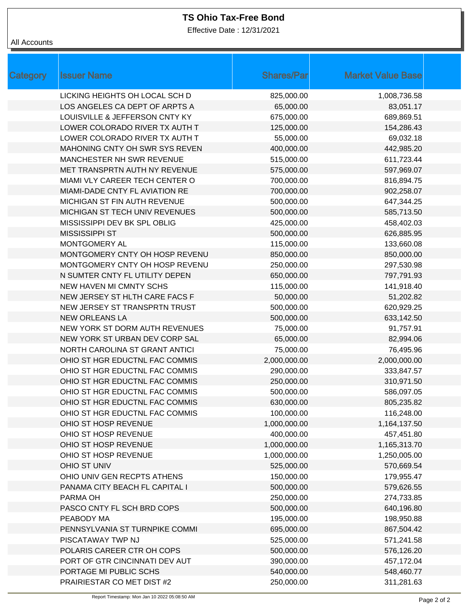## **TS Ohio Tax-Free Bond**

Effective Date : 12/31/2021

# All Accounts

| <b>Category</b> | <b>Issuer Name</b>             | <b>Shares/Par</b> | <b>Market Value Base</b> |
|-----------------|--------------------------------|-------------------|--------------------------|
|                 | LICKING HEIGHTS OH LOCAL SCH D | 825,000.00        | 1,008,736.58             |
|                 | LOS ANGELES CA DEPT OF ARPTS A | 65,000.00         | 83,051.17                |
|                 | LOUISVILLE & JEFFERSON CNTY KY | 675,000.00        | 689,869.51               |
|                 | LOWER COLORADO RIVER TX AUTH T | 125,000.00        | 154,286.43               |
|                 | LOWER COLORADO RIVER TX AUTH T | 55,000.00         | 69,032.18                |
|                 | MAHONING CNTY OH SWR SYS REVEN | 400,000.00        | 442,985.20               |
|                 | MANCHESTER NH SWR REVENUE      | 515,000.00        | 611,723.44               |
|                 | MET TRANSPRTN AUTH NY REVENUE  | 575,000.00        | 597,969.07               |
|                 | MIAMI VLY CAREER TECH CENTER O | 700,000.00        | 816,894.75               |
|                 | MIAMI-DADE CNTY FL AVIATION RE | 700,000.00        | 902,258.07               |
|                 | MICHIGAN ST FIN AUTH REVENUE   | 500,000.00        | 647,344.25               |
|                 | MICHIGAN ST TECH UNIV REVENUES | 500,000.00        | 585,713.50               |
|                 | MISSISSIPPI DEV BK SPL OBLIG   | 425,000.00        | 458,402.03               |
|                 | <b>MISSISSIPPI ST</b>          | 500,000.00        | 626,885.95               |
|                 | MONTGOMERY AL                  | 115,000.00        | 133,660.08               |
|                 | MONTGOMERY CNTY OH HOSP REVENU | 850,000.00        | 850,000.00               |
|                 | MONTGOMERY CNTY OH HOSP REVENU | 250,000.00        | 297,530.98               |
|                 | N SUMTER CNTY FL UTILITY DEPEN | 650,000.00        | 797,791.93               |
|                 | NEW HAVEN MI CMNTY SCHS        | 115,000.00        | 141,918.40               |
|                 | NEW JERSEY ST HLTH CARE FACS F | 50,000.00         | 51,202.82                |
|                 | NEW JERSEY ST TRANSPRTN TRUST  | 500,000.00        | 620,929.25               |
|                 | <b>NEW ORLEANS LA</b>          | 500,000.00        | 633,142.50               |
|                 | NEW YORK ST DORM AUTH REVENUES | 75,000.00         | 91,757.91                |
|                 | NEW YORK ST URBAN DEV CORP SAL | 65,000.00         | 82,994.06                |
|                 | NORTH CAROLINA ST GRANT ANTICI | 75,000.00         | 76,495.96                |
|                 | OHIO ST HGR EDUCTNL FAC COMMIS | 2,000,000.00      | 2,000,000.00             |
|                 | OHIO ST HGR EDUCTNL FAC COMMIS | 290,000.00        | 333,847.57               |
|                 | OHIO ST HGR EDUCTNL FAC COMMIS | 250,000.00        | 310,971.50               |
|                 | OHIO ST HGR EDUCTNL FAC COMMIS | 500,000.00        | 586,097.05               |
|                 | OHIO ST HGR EDUCTNL FAC COMMIS | 630,000.00        | 805,235.82               |
|                 | OHIO ST HGR EDUCTNL FAC COMMIS | 100,000.00        | 116,248.00               |
|                 | OHIO ST HOSP REVENUE           | 1,000,000.00      | 1,164,137.50             |
|                 | OHIO ST HOSP REVENUE           | 400,000.00        | 457,451.80               |
|                 | OHIO ST HOSP REVENUE           | 1,000,000.00      | 1,165,313.70             |
|                 | OHIO ST HOSP REVENUE           | 1,000,000.00      | 1,250,005.00             |
|                 | OHIO ST UNIV                   | 525,000.00        | 570,669.54               |
|                 | OHIO UNIV GEN RECPTS ATHENS    | 150,000.00        | 179,955.47               |
|                 | PANAMA CITY BEACH FL CAPITAL I | 500,000.00        | 579,626.55               |
|                 | PARMA OH                       | 250,000.00        | 274,733.85               |
|                 | PASCO CNTY FL SCH BRD COPS     | 500,000.00        | 640,196.80               |
|                 | PEABODY MA                     | 195,000.00        | 198,950.88               |
|                 | PENNSYLVANIA ST TURNPIKE COMMI | 695,000.00        | 867,504.42               |
|                 | PISCATAWAY TWP NJ              | 525,000.00        | 571,241.58               |
|                 | POLARIS CAREER CTR OH COPS     | 500,000.00        | 576,126.20               |
|                 | PORT OF GTR CINCINNATI DEV AUT | 390,000.00        | 457,172.04               |
|                 | PORTAGE MI PUBLIC SCHS         | 540,000.00        | 548,460.77               |
|                 | PRAIRIESTAR CO MET DIST #2     | 250,000.00        | 311,281.63               |
|                 |                                |                   |                          |